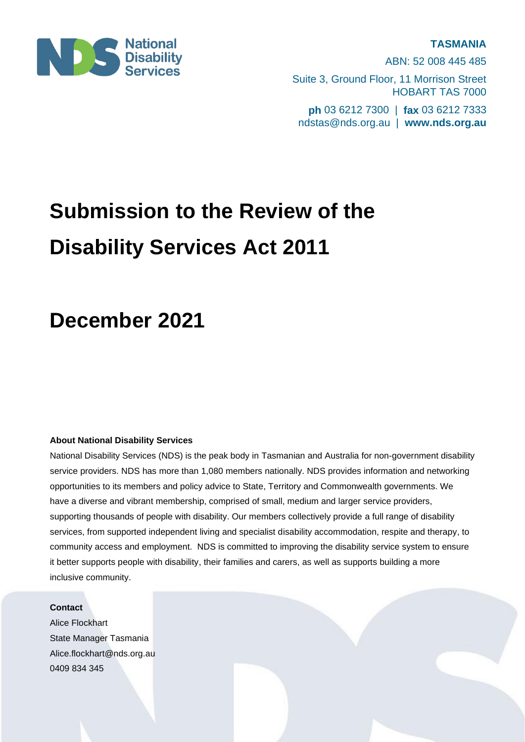

ABN: 52 008 445 485 Suite 3, Ground Floor, 11 Morrison Street HOBART TAS 7000 **ph** 03 6212 7300 | **fax** 03 6212 7333 ndstas@nds.org.au | **www.nds.org.au**

# **Submission to the Review of the Disability Services Act 2011**

# **December 2021**

# **About National Disability Services**

National Disability Services (NDS) is the peak body in Tasmanian and Australia for non-government disability service providers. NDS has more than 1,080 members nationally. NDS provides information and networking opportunities to its members and policy advice to State, Territory and Commonwealth governments. We have a diverse and vibrant membership, comprised of small, medium and larger service providers, supporting thousands of people with disability. Our members collectively provide a full range of disability services, from supported independent living and specialist disability accommodation, respite and therapy, to community access and employment. NDS is committed to improving the disability service system to ensure it better supports people with disability, their families and carers, as well as supports building a more inclusive community.

# **Contact**

Alice Flockhart State Manager Tasmania [Alice.flockhart@nds.org.au](mailto:Alice.flockhart@nds.org.au) 0409 834 345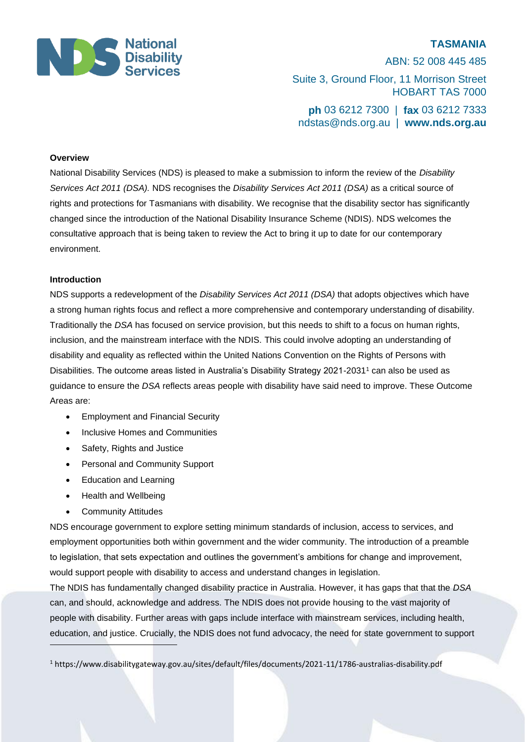

ABN: 52 008 445 485 Suite 3, Ground Floor, 11 Morrison Street HOBART TAS 7000 **ph** 03 6212 7300 | **fax** 03 6212 7333 ndstas@nds.org.au | **www.nds.org.au**

#### **Overview**

National Disability Services (NDS) is pleased to make a submission to inform the review of the *Disability Services Act 2011 (DSA).* NDS recognises the *Disability Services Act 2011 (DSA)* as a critical source of rights and protections for Tasmanians with disability. We recognise that the disability sector has significantly changed since the introduction of the National Disability Insurance Scheme (NDIS). NDS welcomes the consultative approach that is being taken to review the Act to bring it up to date for our contemporary environment.

## **Introduction**

NDS supports a redevelopment of the *Disability Services Act 2011 (DSA)* that adopts objectives which have a strong human rights focus and reflect a more comprehensive and contemporary understanding of disability. Traditionally the *DSA* has focused on service provision, but this needs to shift to a focus on human rights, inclusion, and the mainstream interface with the NDIS. This could involve adopting an understanding of disability and equality as reflected within the United Nations Convention on the Rights of Persons with Disabilities. The outcome areas listed in Australia's Disability Strategy 2021-2031<sup>1</sup> can also be used as guidance to ensure the *DSA* reflects areas people with disability have said need to improve. These Outcome Areas are:

- Employment and Financial Security
- Inclusive Homes and Communities
- Safety, Rights and Justice
- Personal and Community Support
- Education and Learning
- Health and Wellbeing
- Community Attitudes

NDS encourage government to explore setting minimum standards of inclusion, access to services, and employment opportunities both within government and the wider community. The introduction of a preamble to legislation, that sets expectation and outlines the government's ambitions for change and improvement, would support people with disability to access and understand changes in legislation.

The NDIS has fundamentally changed disability practice in Australia. However, it has gaps that that the *DSA* can, and should, acknowledge and address. The NDIS does not provide housing to the vast majority of people with disability. Further areas with gaps include interface with mainstream services, including health, education, and justice. Crucially, the NDIS does not fund advocacy, the need for state government to support

<sup>1</sup> https://www.disabilitygateway.gov.au/sites/default/files/documents/2021-11/1786-australias-disability.pdf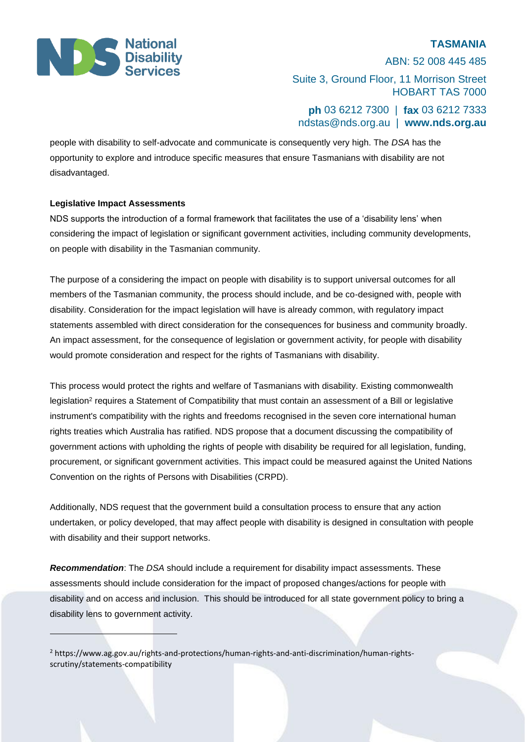

ABN: 52 008 445 485 Suite 3, Ground Floor, 11 Morrison Street HOBART TAS 7000

**ph** 03 6212 7300 | **fax** 03 6212 7333 ndstas@nds.org.au | **www.nds.org.au**

people with disability to self-advocate and communicate is consequently very high. The *DSA* has the opportunity to explore and introduce specific measures that ensure Tasmanians with disability are not disadvantaged.

## **Legislative Impact Assessments**

NDS supports the introduction of a formal framework that facilitates the use of a 'disability lens' when considering the impact of legislation or significant government activities, including community developments, on people with disability in the Tasmanian community.

The purpose of a considering the impact on people with disability is to support universal outcomes for all members of the Tasmanian community, the process should include, and be co-designed with, people with disability. Consideration for the impact legislation will have is already common, with regulatory impact statements assembled with direct consideration for the consequences for business and community broadly. An impact assessment, for the consequence of legislation or government activity, for people with disability would promote consideration and respect for the rights of Tasmanians with disability.

This process would protect the rights and welfare of Tasmanians with disability. Existing commonwealth legislation<sup>2</sup> requires a Statement of Compatibility that must contain an assessment of a Bill or legislative instrument's compatibility with the rights and freedoms recognised in the seven core international human rights treaties which Australia has ratified. NDS propose that a document discussing the compatibility of government actions with upholding the rights of people with disability be required for all legislation, funding, procurement, or significant government activities. This impact could be measured against the United Nations Convention on the rights of Persons with Disabilities (CRPD).

Additionally, NDS request that the government build a consultation process to ensure that any action undertaken, or policy developed, that may affect people with disability is designed in consultation with people with disability and their support networks.

*Recommendation*: The *DSA* should include a requirement for disability impact assessments. These assessments should include consideration for the impact of proposed changes/actions for people with disability and on access and inclusion. This should be introduced for all state government policy to bring a disability lens to government activity.

<sup>2</sup> [https://ww](https://w/)w.ag.gov.au/rights-and-protections/human-rights-and-anti-discrimination/human-rightsscrutiny/statements-compatibility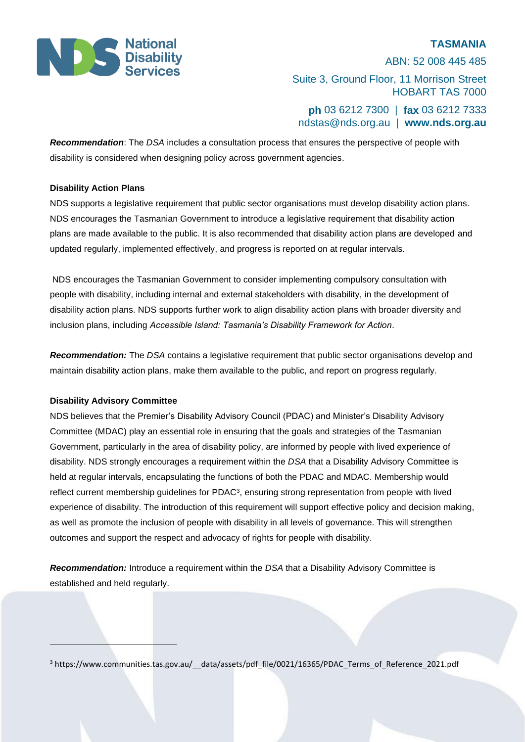

ABN: 52 008 445 485 Suite 3, Ground Floor, 11 Morrison Street HOBART TAS 7000 **ph** 03 6212 7300 | **fax** 03 6212 7333 ndstas@nds.org.au | **www.nds.org.au**

*Recommendation*: The *DSA* includes a consultation process that ensures the perspective of people with disability is considered when designing policy across government agencies.

# **Disability Action Plans**

NDS supports a legislative requirement that public sector organisations must develop disability action plans. NDS encourages the Tasmanian Government to introduce a legislative requirement that disability action plans are made available to the public. It is also recommended that disability action plans are developed and updated regularly, implemented effectively, and progress is reported on at regular intervals.

NDS encourages the Tasmanian Government to consider implementing compulsory consultation with people with disability, including internal and external stakeholders with disability, in the development of disability action plans. NDS supports further work to align disability action plans with broader diversity and inclusion plans, including *Accessible Island: Tasmania's Disability Framework for Action*.

*Recommendation:* The *DSA* contains a legislative requirement that public sector organisations develop and maintain disability action plans, make them available to the public, and report on progress regularly.

# **Disability Advisory Committee**

NDS believes that the Premier's Disability Advisory Council (PDAC) and Minister's Disability Advisory Committee (MDAC) play an essential role in ensuring that the goals and strategies of the Tasmanian Government, particularly in the area of disability policy, are informed by people with lived experience of disability. NDS strongly encourages a requirement within the *DSA* that a Disability Advisory Committee is held at regular intervals, encapsulating the functions of both the PDAC and MDAC. Membership would reflect current membership guidelines for PDAC<sup>3</sup>, ensuring strong representation from people with lived experience of disability. The introduction of this requirement will support effective policy and decision making, as well as promote the inclusion of people with disability in all levels of governance. This will strengthen outcomes and support the respect and advocacy of rights for people with disability.

*Recommendation:* Introduce a requirement within the *DSA* that a Disability Advisory Committee is established and held regularly.

<sup>3</sup> https://www.communities.tas.gov.au/\_\_data/assets/pdf\_file/0021/16365/PDAC\_Terms\_of\_Reference\_2021.pdf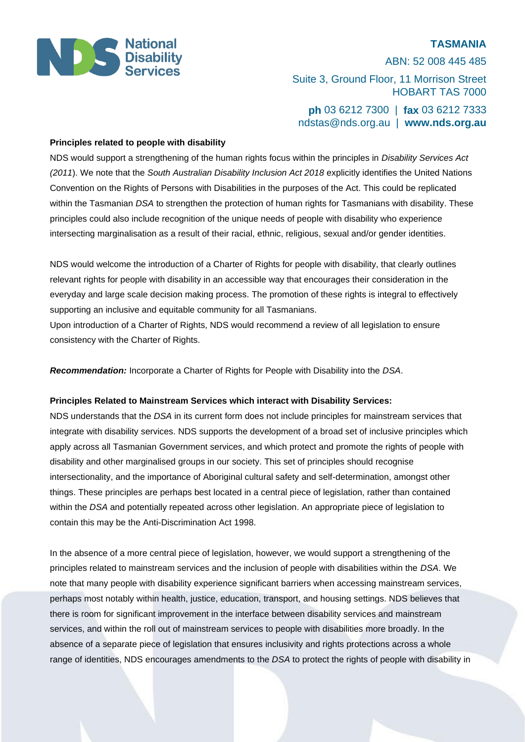

ABN: 52 008 445 485 Suite 3, Ground Floor, 11 Morrison Street HOBART TAS 7000 **ph** 03 6212 7300 | **fax** 03 6212 7333 ndstas@nds.org.au | **www.nds.org.au**

## **Principles related to people with disability**

NDS would support a strengthening of the human rights focus within the principles in *Disability Services Act (2011*). We note that the *South Australian Disability Inclusion Act 2018* explicitly identifies the United Nations Convention on the Rights of Persons with Disabilities in the purposes of the Act. This could be replicated within the Tasmanian *DSA* to strengthen the protection of human rights for Tasmanians with disability. These principles could also include recognition of the unique needs of people with disability who experience intersecting marginalisation as a result of their racial, ethnic, religious, sexual and/or gender identities.

NDS would welcome the introduction of a Charter of Rights for people with disability, that clearly outlines relevant rights for people with disability in an accessible way that encourages their consideration in the everyday and large scale decision making process. The promotion of these rights is integral to effectively supporting an inclusive and equitable community for all Tasmanians.

Upon introduction of a Charter of Rights, NDS would recommend a review of all legislation to ensure consistency with the Charter of Rights.

*Recommendation:* Incorporate a Charter of Rights for People with Disability into the *DSA*.

# **Principles Related to Mainstream Services which interact with Disability Services:**

NDS understands that the *DSA* in its current form does not include principles for mainstream services that integrate with disability services. NDS supports the development of a broad set of inclusive principles which apply across all Tasmanian Government services, and which protect and promote the rights of people with disability and other marginalised groups in our society. This set of principles should recognise intersectionality, and the importance of Aboriginal cultural safety and self-determination, amongst other things. These principles are perhaps best located in a central piece of legislation, rather than contained within the *DSA* and potentially repeated across other legislation. An appropriate piece of legislation to contain this may be the Anti-Discrimination Act 1998.

In the absence of a more central piece of legislation, however, we would support a strengthening of the principles related to mainstream services and the inclusion of people with disabilities within the *DSA*. We note that many people with disability experience significant barriers when accessing mainstream services, perhaps most notably within health, justice, education, transport, and housing settings. NDS believes that there is room for significant improvement in the interface between disability services and mainstream services, and within the roll out of mainstream services to people with disabilities more broadly. In the absence of a separate piece of legislation that ensures inclusivity and rights protections across a whole range of identities, NDS encourages amendments to the *DSA* to protect the rights of people with disability in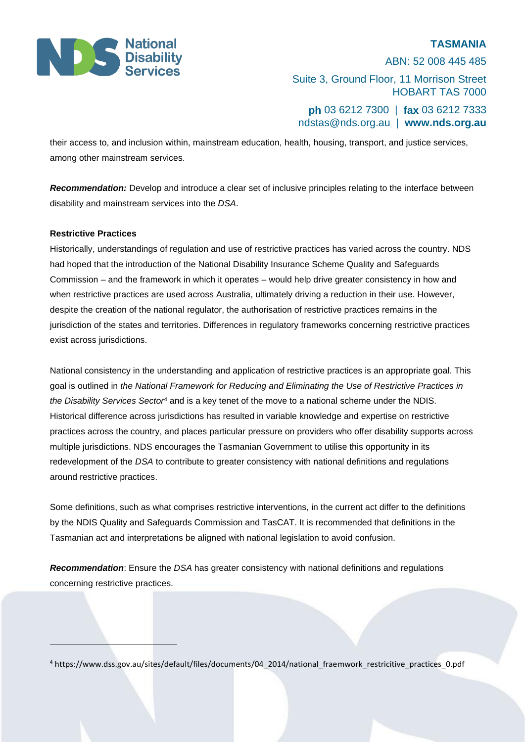

ABN: 52 008 445 485 Suite 3, Ground Floor, 11 Morrison Street HOBART TAS 7000 **ph** 03 6212 7300 | **fax** 03 6212 7333 ndstas@nds.org.au | **www.nds.org.au**

their access to, and inclusion within, mainstream education, health, housing, transport, and justice services, among other mainstream services.

*Recommendation:* Develop and introduce a clear set of inclusive principles relating to the interface between disability and mainstream services into the *DSA*.

## **Restrictive Practices**

Historically, understandings of regulation and use of restrictive practices has varied across the country. NDS had hoped that the introduction of the National Disability Insurance Scheme Quality and Safeguards Commission – and the framework in which it operates – would help drive greater consistency in how and when restrictive practices are used across Australia, ultimately driving a reduction in their use. However, despite the creation of the national regulator, the authorisation of restrictive practices remains in the jurisdiction of the states and territories. Differences in regulatory frameworks concerning restrictive practices exist across jurisdictions.

National consistency in the understanding and application of restrictive practices is an appropriate goal. This goal is outlined in *the National Framework for Reducing and Eliminating the Use of Restrictive Practices in the Disability Services Sector*<sup>4</sup> and is a key tenet of the move to a national scheme under the NDIS. Historical difference across jurisdictions has resulted in variable knowledge and expertise on restrictive practices across the country, and places particular pressure on providers who offer disability supports across multiple jurisdictions. NDS encourages the Tasmanian Government to utilise this opportunity in its redevelopment of the *DSA* to contribute to greater consistency with national definitions and regulations around restrictive practices.

Some definitions, such as what comprises restrictive interventions, in the current act differ to the definitions by the NDIS Quality and Safeguards Commission and TasCAT. It is recommended that definitions in the Tasmanian act and interpretations be aligned with national legislation to avoid confusion.

*Recommendation*: Ensure the *DSA* has greater consistency with national definitions and regulations concerning restrictive practices.

<sup>4</sup> https://www.dss.gov.au/sites/default/files/documents/04\_2014/national\_fraemwork\_restricitive\_practices\_0.pdf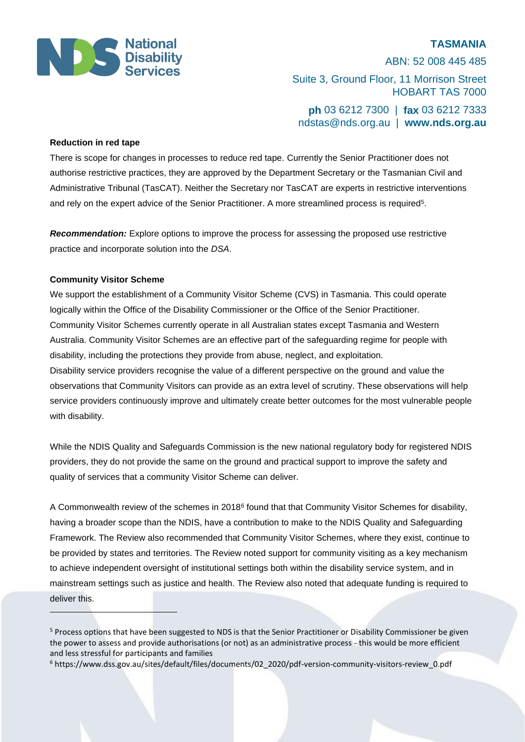

ABN: 52 008 445 485 Suite 3, Ground Floor, 11 Morrison Street HOBART TAS 7000 **ph** 03 6212 7300 | **fax** 03 6212 7333 ndstas@nds.org.au | **www.nds.org.au**

## **Reduction in red tape**

There is scope for changes in processes to reduce red tape. Currently the Senior Practitioner does not authorise restrictive practices, they are approved by the Department Secretary or the Tasmanian Civil and Administrative Tribunal (TasCAT). Neither the Secretary nor TasCAT are experts in restrictive interventions and rely on the expert advice of the Senior Practitioner. A more streamlined process is required<sup>5</sup> .

*Recommendation:* Explore options to improve the process for assessing the proposed use restrictive practice and incorporate solution into the *DSA*.

## **Community Visitor Scheme**

We support the establishment of a Community Visitor Scheme (CVS) in Tasmania. This could operate logically within the Office of the Disability Commissioner or the Office of the Senior Practitioner. Community Visitor Schemes currently operate in all Australian states except Tasmania and Western Australia. Community Visitor Schemes are an effective part of the safeguarding regime for people with disability, including the protections they provide from abuse, neglect, and exploitation. Disability service providers recognise the value of a different perspective on the ground and value the observations that Community Visitors can provide as an extra level of scrutiny. These observations will help service providers continuously improve and ultimately create better outcomes for the most vulnerable people with disability.

While the NDIS Quality and Safeguards Commission is the new national regulatory body for registered NDIS providers, they do not provide the same on the ground and practical support to improve the safety and quality of services that a community Visitor Scheme can deliver.

A Commonwealth review of the schemes in 2018<sup>6</sup> found that that Community Visitor Schemes for disability, having a broader scope than the NDIS, have a contribution to make to the NDIS Quality and Safeguarding Framework. The Review also recommended that Community Visitor Schemes, where they exist, continue to be provided by states and territories. The Review noted support for community visiting as a key mechanism to achieve independent oversight of institutional settings both within the disability service system, and in mainstream settings such as justice and health. The Review also noted that adequate funding is required to deliver this.

<sup>&</sup>lt;sup>5</sup> Process options that have been suggested to NDS is that the Senior Practitioner or Disability Commissioner be given the power to assess and provide authorisations (or not) as an administrative process - this would be more efficient and less stressful for participants and families

<sup>6</sup> https://www.dss.gov.au/sites/default/files/documents/02\_2020/pdf-version-community-visitors-review\_0.pdf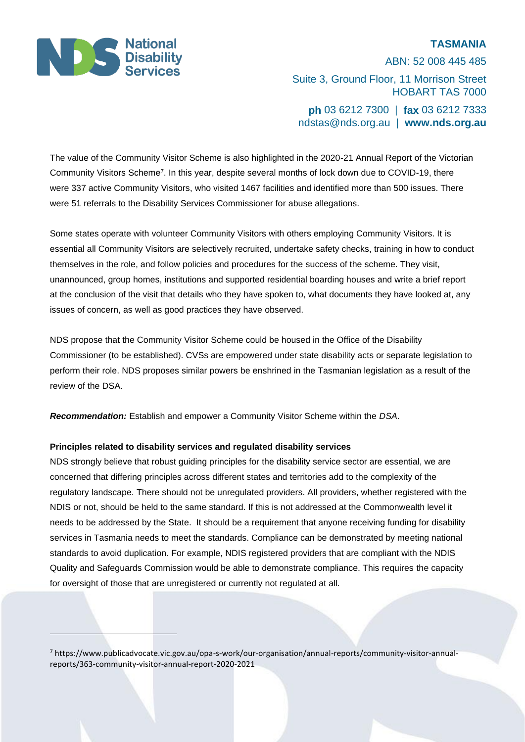

ABN: 52 008 445 485 Suite 3, Ground Floor, 11 Morrison Street HOBART TAS 7000 **ph** 03 6212 7300 | **fax** 03 6212 7333 ndstas@nds.org.au | **www.nds.org.au**

The value of the Community Visitor Scheme is also highlighted in the 2020-21 Annual Report of the Victorian Community Visitors Scheme<sup>7</sup> . In this year, despite several months of lock down due to COVID-19, there were 337 active Community Visitors, who visited 1467 facilities and identified more than 500 issues. There were 51 referrals to the Disability Services Commissioner for abuse allegations.

Some states operate with volunteer Community Visitors with others employing Community Visitors. It is essential all Community Visitors are selectively recruited, undertake safety checks, training in how to conduct themselves in the role, and follow policies and procedures for the success of the scheme. They visit, unannounced, group homes, institutions and supported residential boarding houses and write a brief report at the conclusion of the visit that details who they have spoken to, what documents they have looked at, any issues of concern, as well as good practices they have observed.

NDS propose that the Community Visitor Scheme could be housed in the Office of the Disability Commissioner (to be established). CVSs are empowered under state disability acts or separate legislation to perform their role. NDS proposes similar powers be enshrined in the Tasmanian legislation as a result of the review of the DSA.

*Recommendation:* Establish and empower a Community Visitor Scheme within the *DSA*.

## **Principles related to disability services and regulated disability services**

NDS strongly believe that robust guiding principles for the disability service sector are essential, we are concerned that differing principles across different states and territories add to the complexity of the regulatory landscape. There should not be unregulated providers. All providers, whether registered with the NDIS or not, should be held to the same standard. If this is not addressed at the Commonwealth level it needs to be addressed by the State. It should be a requirement that anyone receiving funding for disability services in Tasmania needs to meet the standards. Compliance can be demonstrated by meeting national standards to avoid duplication. For example, NDIS registered providers that are compliant with the NDIS Quality and Safeguards Commission would be able to demonstrate compliance. This requires the capacity for oversight of those that are unregistered or currently not regulated at all.

<sup>7</sup> https://www.publicadvocate.vic.gov.au/opa-s-work/our-organisation/annual-reports/community-visitor-annualreports/363-community-visitor-annual-report-2020-2021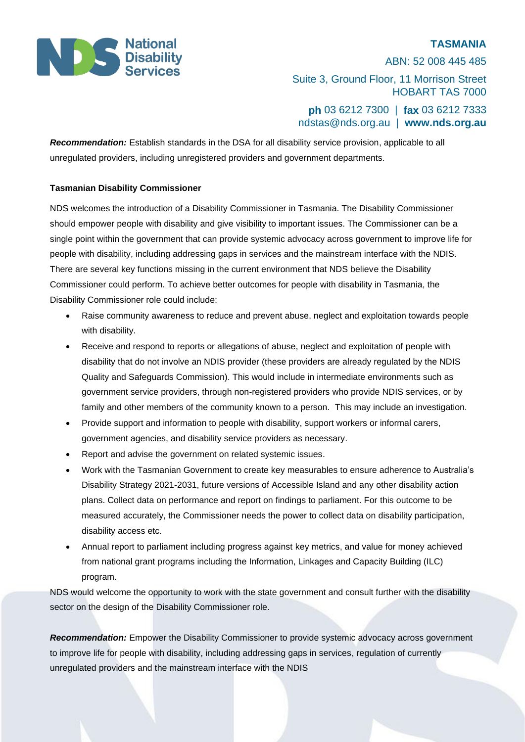

ABN: 52 008 445 485 Suite 3, Ground Floor, 11 Morrison Street HOBART TAS 7000

**ph** 03 6212 7300 | **fax** 03 6212 7333 ndstas@nds.org.au | **www.nds.org.au**

*Recommendation:* Establish standards in the DSA for all disability service provision, applicable to all unregulated providers, including unregistered providers and government departments.

# **Tasmanian Disability Commissioner**

NDS welcomes the introduction of a Disability Commissioner in Tasmania. The Disability Commissioner should empower people with disability and give visibility to important issues. The Commissioner can be a single point within the government that can provide systemic advocacy across government to improve life for people with disability, including addressing gaps in services and the mainstream interface with the NDIS. There are several key functions missing in the current environment that NDS believe the Disability Commissioner could perform. To achieve better outcomes for people with disability in Tasmania, the Disability Commissioner role could include:

- Raise community awareness to reduce and prevent abuse, neglect and exploitation towards people with disability.
- Receive and respond to reports or allegations of abuse, neglect and exploitation of people with disability that do not involve an NDIS provider (these providers are already regulated by the NDIS Quality and Safeguards Commission). This would include in intermediate environments such as government service providers, through non-registered providers who provide NDIS services, or by family and other members of the community known to a person. This may include an investigation.
- Provide support and information to people with disability, support workers or informal carers, government agencies, and disability service providers as necessary.
- Report and advise the government on related systemic issues.
- Work with the Tasmanian Government to create key measurables to ensure adherence to Australia's Disability Strategy 2021-2031, future versions of Accessible Island and any other disability action plans. Collect data on performance and report on findings to parliament. For this outcome to be measured accurately, the Commissioner needs the power to collect data on disability participation, disability access etc.
- Annual report to parliament including progress against key metrics, and value for money achieved from national grant programs including the Information, Linkages and Capacity Building (ILC) program.

NDS would welcome the opportunity to work with the state government and consult further with the disability sector on the design of the Disability Commissioner role.

*Recommendation:* Empower the Disability Commissioner to provide systemic advocacy across government to improve life for people with disability, including addressing gaps in services, regulation of currently unregulated providers and the mainstream interface with the NDIS